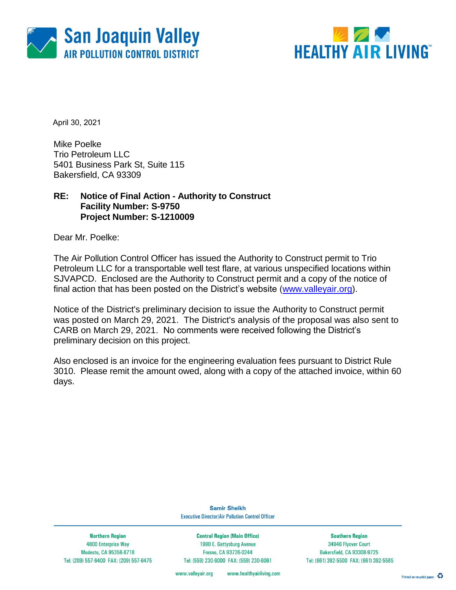



April 30, 2021

Mike Poelke Trio Petroleum LLC 5401 Business Park St, Suite 115 Bakersfield, CA 93309

### **RE: Notice of Final Action - Authority to Construct Facility Number: S-9750 Project Number: S-1210009**

Dear Mr. Poelke:

The Air Pollution Control Officer has issued the Authority to Construct permit to Trio Petroleum LLC for a transportable well test flare, at various unspecified locations within SJVAPCD. Enclosed are the Authority to Construct permit and a copy of the notice of final action that has been posted on the District's website [\(www.valleyair.org\)](http://www.valleyair.org/).

Notice of the District's preliminary decision to issue the Authority to Construct permit was posted on March 29, 2021. The District's analysis of the proposal was also sent to CARB on March 29, 2021. No comments were received following the District's preliminary decision on this project.

Also enclosed is an invoice for the engineering evaluation fees pursuant to District Rule 3010. Please remit the amount owed, along with a copy of the attached invoice, within 60 days.

> **Samir Sheikh Executive Director/Air Pollution Control Officer**

**Northern Region** 4800 Enterprise Way Modesto, CA 95356-8718 Tel: (209) 557-6400 FAX: (209) 557-6475

**Central Region (Main Office)** 1990 E. Gettysburg Avenue Fresno, CA 93726-0244 Tel: (559) 230-6000 FAX: (559) 230-6061

**Southern Region** 34946 Flyover Court Bakersfield, CA 93308-9725 Tel: (661) 392-5500 FAX: (661) 392-5585

www.valleyair.org www.healthyairliving.com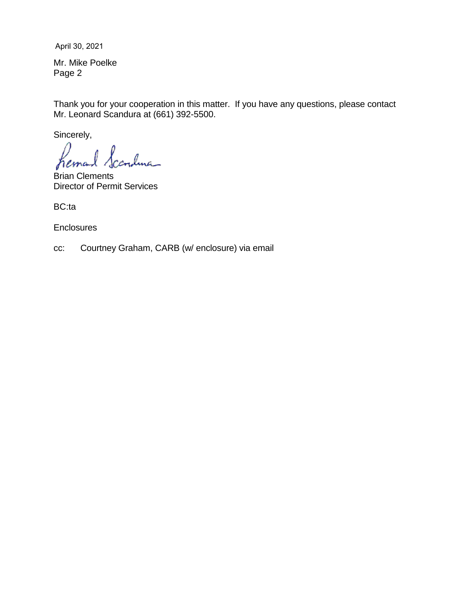April 30, 2021

Mr. Mike Poelke Page 2

Thank you for your cooperation in this matter. If you have any questions, please contact Mr. Leonard Scandura at (661) 392-5500.

Sincerely,

cr<sub>o</sub>duc\_ hema

Brian Clements Director of Permit Services

BC:ta

**Enclosures** 

cc: Courtney Graham, CARB (w/ enclosure) via email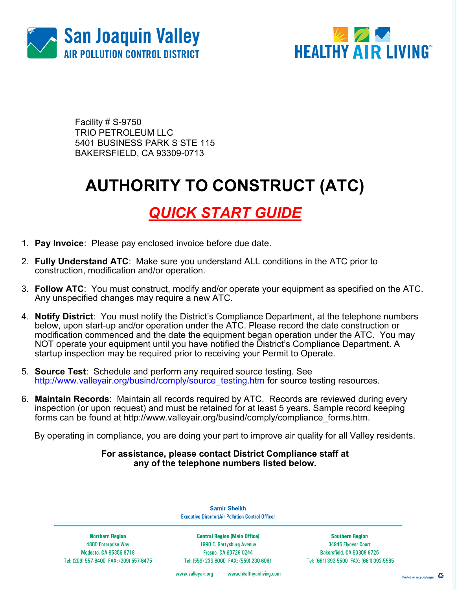



Facility # S-9750 TRIO PETROLEUM LLC 5401 BUSINESS PARK S STE 115 BAKERSFIELD, CA 93309-0713

# AUTHORITY TO CONSTRUCT (ATC)

### QUICK START GUIDE

- 1. Pay Invoice: Please pay enclosed invoice before due date.
- 2. Fully Understand ATC: Make sure you understand ALL conditions in the ATC prior to construction, modification and/or operation.
- 3. Follow ATC: You must construct, modify and/or operate your equipment as specified on the ATC. Any unspecified changes may require a new ATC.
- 4. Notify District: You must notify the District's Compliance Department, at the telephone numbers below, upon start-up and/or operation under the ATC. Please record the date construction or modification commenced and the date the equipment began operation under the ATC. You may NOT operate your equipment until you have notified the District's Compliance Department. A startup inspection may be required prior to receiving your Permit to Operate.
- 5. Source Test: Schedule and perform any required source testing. See http://www.valleyair.org/busind/comply/source\_testing.htm for source testing resources.
- 6. Maintain Records: Maintain all records required by ATC. Records are reviewed during every inspection (or upon request) and must be retained for at least 5 years. Sample record keeping forms can be found at http://www.valleyair.org/busind/comply/compliance\_forms.htm.

By operating in compliance, you are doing your part to improve air quality for all Valley residents.

#### For assistance, please contact District Compliance staff at any of the telephone numbers listed below.

**Northern Region** 4800 Enterprise Way Modesto, CA 95356-8718 Tel: (209) 557-6400 FAX: (209) 557-6475

**Samir Sheikh Executive Director/Air Pollution Control Officer** 

**Central Region (Main Office)** 1990 E. Gettysburg Avenue Fresno, CA 93726-0244 Tel: (559) 230-6000 FAX: (559) 230-6061

**Southern Region** 34946 Flyover Court Bakersfield, CA 93308-9725 Tel: (661) 392-5500 FAX: (661) 392-5585

www.valleyair.org www.healthyairliving.com

Printed on recycled paper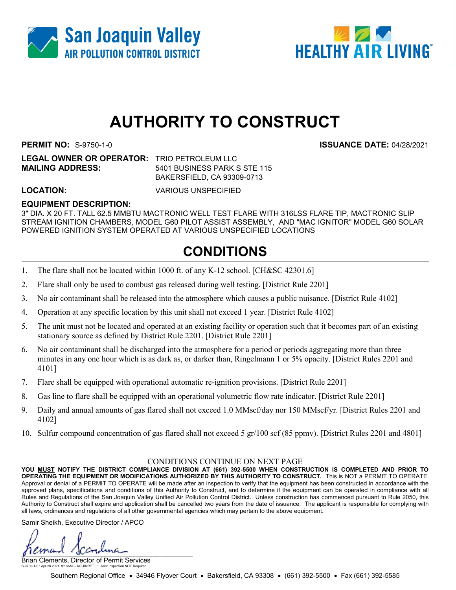



## AUTHORITY TO CONSTRUCT

LEGAL OWNER OR OPERATOR: TRIO PETROLEUM LLC MAILING ADDRESS: 5401 BUSINESS PARK S STE 115

BAKERSFIELD, CA 93309-0713

LOCATION: VARIOUS UNSPECIFIED

### EQUIPMENT DESCRIPTION:

3" DIA. X 20 FT. TALL 62.5 MMBTU MACTRONIC WELL TEST FLARE WITH 316LSS FLARE TIP, MACTRONIC SLIP STREAM IGNITION CHAMBERS, MODEL G60 PILOT ASSIST ASSEMBLY, AND "MAC IGNITOR" MODEL G60 SOLAR POWERED IGNITION SYSTEM OPERATED AT VARIOUS UNSPECIFIED LOCATIONS

### CONDITIONS

- 1. The flare shall not be located within 1000 ft. of any K-12 school. [CH&SC 42301.6]
- 2. Flare shall only be used to combust gas released during well testing. [District Rule 2201]
- 3. No air contaminant shall be released into the atmosphere which causes a public nuisance. [District Rule 4102]
- 4. Operation at any specific location by this unit shall not exceed 1 year. [District Rule 4102]
- 5. The unit must not be located and operated at an existing facility or operation such that it becomes part of an existing stationary source as defined by District Rule 2201. [District Rule 2201]
- 6. No air contaminant shall be discharged into the atmosphere for a period or periods aggregating more than three minutes in any one hour which is as dark as, or darker than, Ringelmann 1 or 5% opacity. [District Rules 2201 and 4101]
- 7. Flare shall be equipped with operational automatic re-ignition provisions. [District Rule 2201]
- 8. Gas line to flare shall be equipped with an operational volumetric flow rate indicator. [District Rule 2201]
- 9. Daily and annual amounts of gas flared shall not exceed 1.0 MMscf/day nor 150 MMscf/yr. [District Rules 2201 and 4102]
- 10. Sulfur compound concentration of gas flared shall not exceed 5 gr/100 scf (85 ppmv). [District Rules 2201 and 4801]

#### CONDITIONS CONTINUE ON NEXT PAGE

YOU MUST NOTIFY THE DISTRICT COMPLIANCE DIVISION AT (661) 392-5500 WHEN CONSTRUCTION IS COMPLETED AND PRIOR TO OPERATING THE EQUIPMENT OR MODIFICATIONS AUTHORIZED BY THIS AUTHORITY TO CONSTRUCT. This is NOT a PERMIT TO OPERATE. Approval or denial of a PERMIT TO OPERATE will be made after an inspection to verify that the equipment has been constructed in accordance with the approved plans, specifications and conditions of this Authority to Construct, and to determine if the equipment can be operated in compliance with all Rules and Regulations of the San Joaquin Valley Unified Air Pollution Control District. Unless construction has commenced pursuant to Rule 2050, this Authority to Construct shall expire and application shall be cancelled two years from the date of issuance. The applicant is responsible for complying with all laws, ordinances and regulations of all other governmental agencies which may pertain to the above equipment.

Samir Sheikh, Executive Director / APCO

 $\mu$ 

Brian Clements, Director of Permit Services S-9750-1-0 : Apr 28 2021 9:18AM -- AGUIRRET : Joint Inspection NOT Required

Southern Regional Office • 34946 Flyover Court • Bakersfield, CA 93308 • (661) 392-5500 • Fax (661) 392-5585

PERMIT NO: S-9750-1-0 ISSUANCE DATE: 04/28/2021